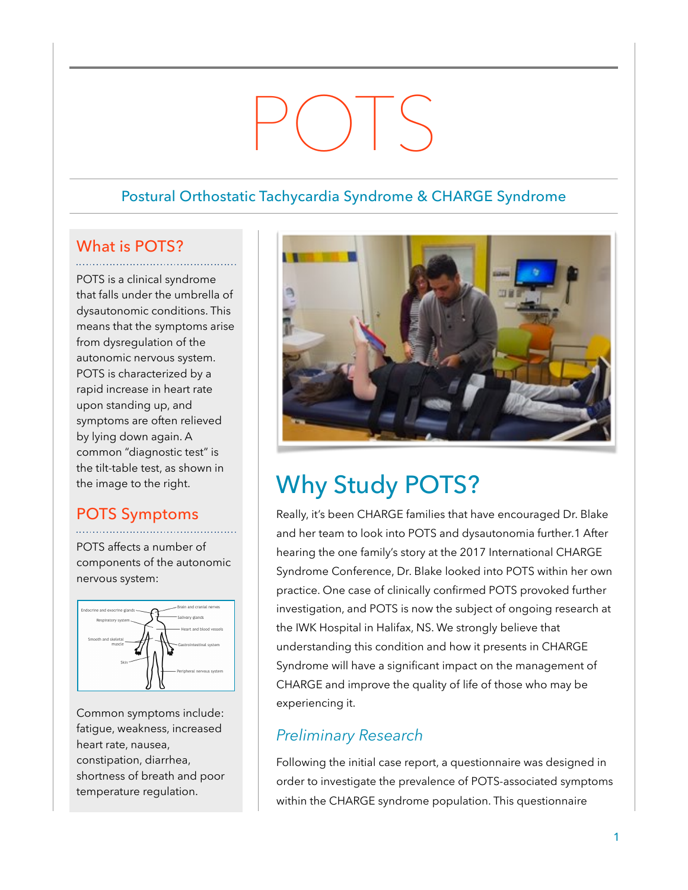# POTS

### Postural Orthostatic Tachycardia Syndrome & CHARGE Syndrome

## What is POTS?

POTS is a clinical syndrome that falls under the umbrella of dysautonomic conditions. This means that the symptoms arise from dysregulation of the autonomic nervous system. POTS is characterized by a rapid increase in heart rate upon standing up, and symptoms are often relieved by lying down again. A common "diagnostic test" is the tilt-table test, as shown in the image to the right.

## POTS Symptoms

POTS affects a number of components of the autonomic nervous system:



Common symptoms include: fatigue, weakness, increased heart rate, nausea, constipation, diarrhea, shortness of breath and poor temperature regulation.



## Why Study POTS?

Really, it's been CHARGE families that have encouraged Dr. Blake and her team to look into POTS and dysautonomia further.1 After hearing the one family's story at the 2017 International CHARGE Syndrome Conference, Dr. Blake looked into POTS within her own practice. One case of clinically confirmed POTS provoked further investigation, and POTS is now the subject of ongoing research at the IWK Hospital in Halifax, NS. We strongly believe that understanding this condition and how it presents in CHARGE Syndrome will have a significant impact on the management of CHARGE and improve the quality of life of those who may be experiencing it.

## *Preliminary Research*

Following the initial case report, a questionnaire was designed in order to investigate the prevalence of POTS-associated symptoms within the CHARGE syndrome population. This questionnaire